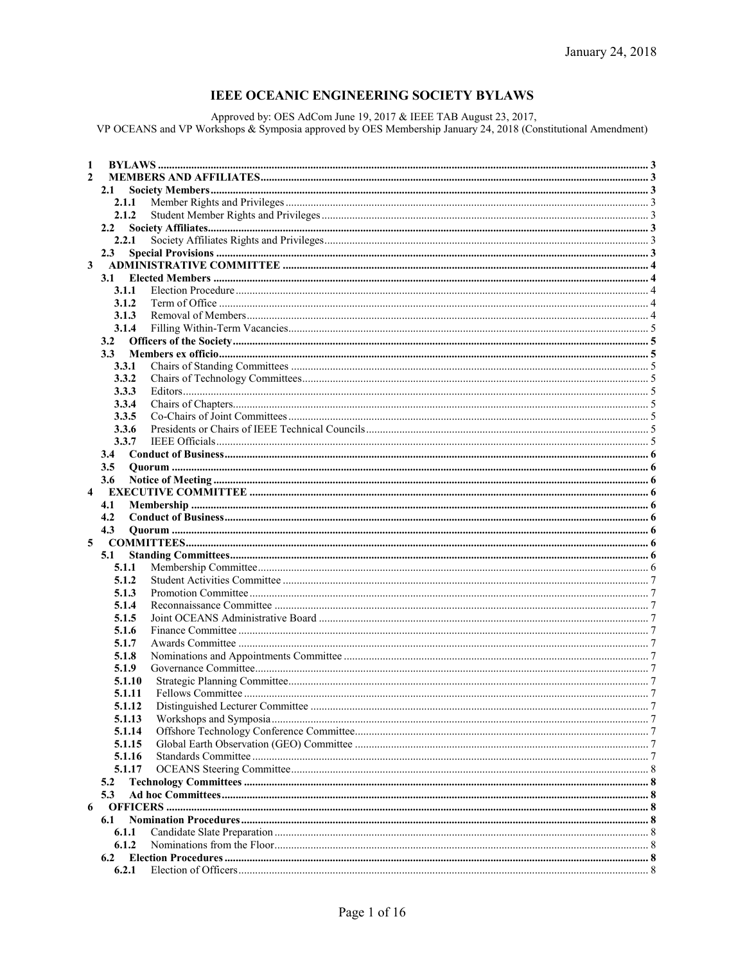# **IEEE OCEANIC ENGINEERING SOCIETY BYLAWS**

Approved by: OES AdCom June 19, 2017 & IEEE TAB August 23, 2017,<br>VP OCEANS and VP Workshops & Symposia approved by OES Membership January 24, 2018 (Constitutional Amendment)

| 1            |               |  |
|--------------|---------------|--|
| $\mathbf{2}$ |               |  |
|              | 2.1           |  |
|              | 2.1.1         |  |
|              | 2.1.2         |  |
|              | $2.2^{\circ}$ |  |
|              | 2.2.1         |  |
|              | 2.3           |  |
| 3            |               |  |
|              | 3.1           |  |
|              | 3.1.1         |  |
|              | 3.1.2         |  |
|              | 3.1.3         |  |
|              | 3.1.4         |  |
|              | 3.2           |  |
|              | 3.3           |  |
|              | 3.3.1         |  |
|              | 3.3.2         |  |
|              | 3.3.3         |  |
|              | 3.3.4         |  |
|              | 3.3.5         |  |
|              | 3.3.6         |  |
|              | 3.3.7         |  |
|              | $3.4^{\circ}$ |  |
|              | $3.5\,$       |  |
|              | 3.6           |  |
| 4            |               |  |
|              |               |  |
|              |               |  |
|              | 4.1           |  |
|              | 4.2           |  |
|              | 4.3           |  |
| 5            |               |  |
|              | 5.1           |  |
|              | 5.1.1         |  |
|              | 5.1.2         |  |
|              | 5.1.3         |  |
|              | 5.1.4         |  |
|              | 5.1.5         |  |
|              | 5.1.6         |  |
|              | 5.1.7         |  |
|              | 5.1.8         |  |
|              | 5.1.9         |  |
|              | 5.1.10        |  |
|              | 5.1.11        |  |
|              | 5.1.12        |  |
|              | 5.1.13        |  |
|              | 5.1.14        |  |
|              | 5.1.15        |  |
|              | 5.1.16        |  |
|              | 5.1.17        |  |
|              | 5.2           |  |
|              | 5.3           |  |
| 6            |               |  |
|              | 6.1           |  |
|              | 6.1.1         |  |
|              | 6.1.2<br>6.2  |  |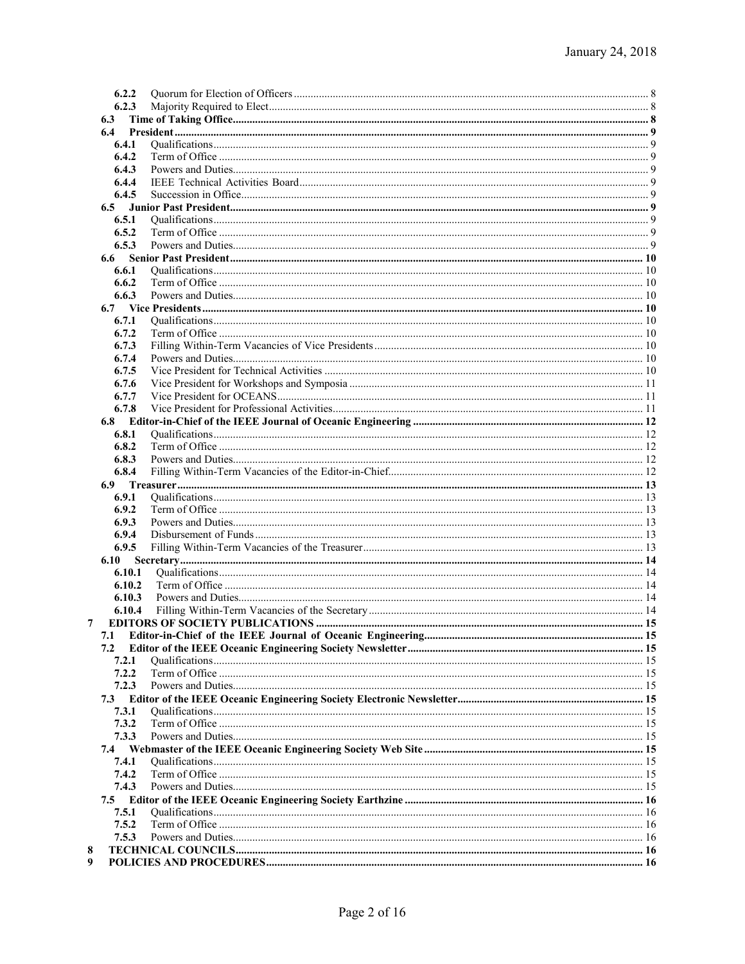| 6.2.2  |  |
|--------|--|
|        |  |
| 6.2.3  |  |
| 6.3    |  |
| 6.4    |  |
| 6.4.1  |  |
| 6.4.2  |  |
| 6.4.3  |  |
|        |  |
| 6.4.4  |  |
| 6.4.5  |  |
| 6.5    |  |
| 6.5.1  |  |
| 6.5.2  |  |
| 6.5.3  |  |
| 6.6    |  |
|        |  |
| 6.6.1  |  |
| 6.6.2  |  |
| 6.6.3  |  |
| 6.7    |  |
| 6.7.1  |  |
| 6.7.2  |  |
| 6.7.3  |  |
| 6.7.4  |  |
|        |  |
| 6.7.5  |  |
| 6.7.6  |  |
| 6.7.7  |  |
| 6.7.8  |  |
| 6.8    |  |
| 6.8.1  |  |
| 6.8.2  |  |
|        |  |
| 6.8.3  |  |
| 6.8.4  |  |
| 6.9    |  |
| 6.9.1  |  |
| 6.9.2  |  |
| 6.9.3  |  |
| 6.9.4  |  |
| 6.9.5  |  |
|        |  |
| 6.10   |  |
| 6.10.1 |  |
| 6.10.2 |  |
| 6.10.3 |  |
| 6.10.4 |  |
|        |  |
|        |  |
| 7.1    |  |
| 7.2    |  |
| 7.2.1  |  |
| 7.2.2  |  |
| 7.2.3  |  |
|        |  |
|        |  |
| 7.3    |  |
| 7.3.1  |  |
| 7.3.2  |  |
| 7.3.3  |  |
| 7.4    |  |
| 7.4.1  |  |
| 7.4.2  |  |
|        |  |
| 7.4.3  |  |
| 7.5    |  |
| 7.5.1  |  |
| 7.5.2  |  |
| 7.5.3  |  |
|        |  |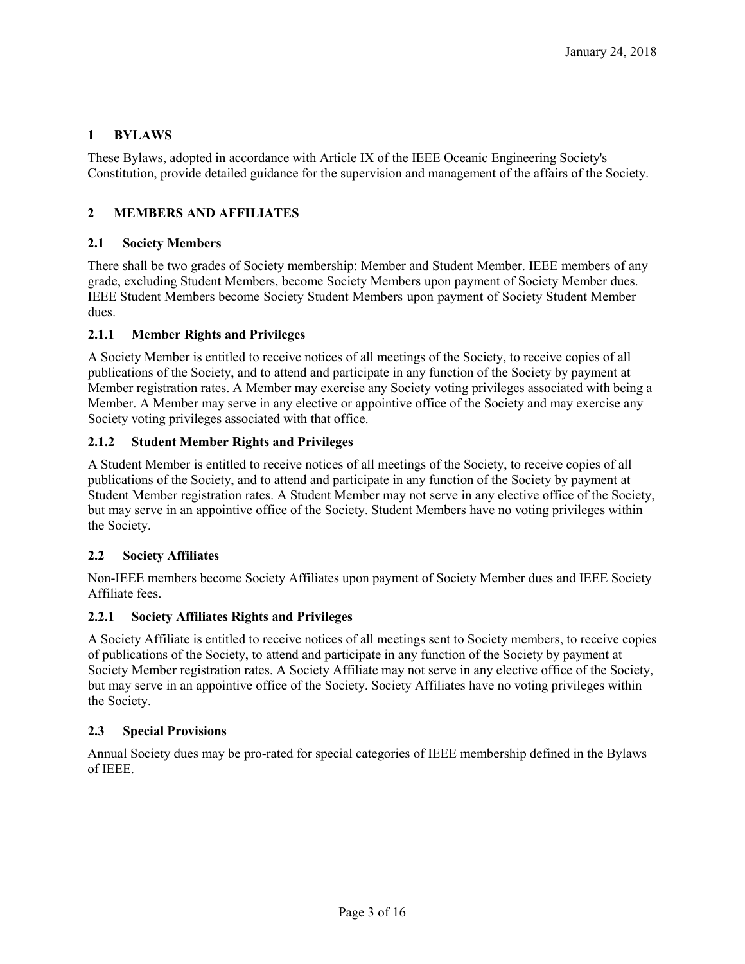# **1 BYLAWS**

These Bylaws, adopted in accordance with Article IX of the IEEE Oceanic Engineering Society's Constitution, provide detailed guidance for the supervision and management of the affairs of the Society.

# **2 MEMBERS AND AFFILIATES**

# **2.1 Society Members**

There shall be two grades of Society membership: Member and Student Member. IEEE members of any grade, excluding Student Members, become Society Members upon payment of Society Member dues. IEEE Student Members become Society Student Members upon payment of Society Student Member dues.

# **2.1.1 Member Rights and Privileges**

A Society Member is entitled to receive notices of all meetings of the Society, to receive copies of all publications of the Society, and to attend and participate in any function of the Society by payment at Member registration rates. A Member may exercise any Society voting privileges associated with being a Member. A Member may serve in any elective or appointive office of the Society and may exercise any Society voting privileges associated with that office.

## **2.1.2 Student Member Rights and Privileges**

A Student Member is entitled to receive notices of all meetings of the Society, to receive copies of all publications of the Society, and to attend and participate in any function of the Society by payment at Student Member registration rates. A Student Member may not serve in any elective office of the Society, but may serve in an appointive office of the Society. Student Members have no voting privileges within the Society.

### **2.2 Society Affiliates**

Non-IEEE members become Society Affiliates upon payment of Society Member dues and IEEE Society Affiliate fees.

# **2.2.1 Society Affiliates Rights and Privileges**

A Society Affiliate is entitled to receive notices of all meetings sent to Society members, to receive copies of publications of the Society, to attend and participate in any function of the Society by payment at Society Member registration rates. A Society Affiliate may not serve in any elective office of the Society, but may serve in an appointive office of the Society. Society Affiliates have no voting privileges within the Society.

### **2.3 Special Provisions**

Annual Society dues may be pro-rated for special categories of IEEE membership defined in the Bylaws of IEEE.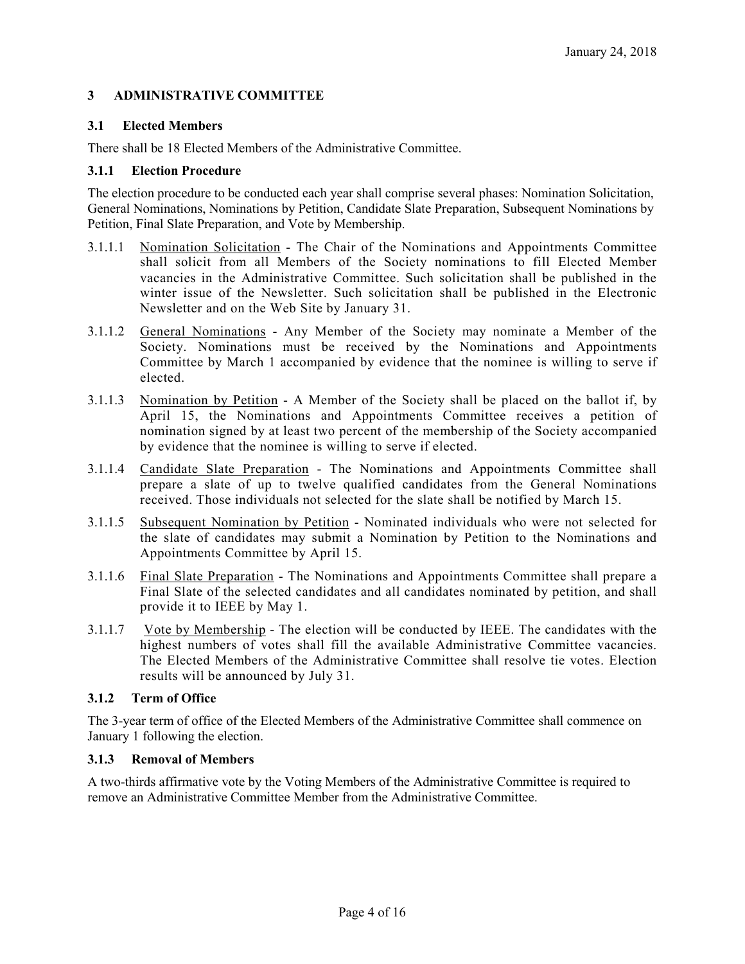## **3 ADMINISTRATIVE COMMITTEE**

## **3.1 Elected Members**

There shall be 18 Elected Members of the Administrative Committee.

### **3.1.1 Election Procedure**

The election procedure to be conducted each year shall comprise several phases: Nomination Solicitation, General Nominations, Nominations by Petition, Candidate Slate Preparation, Subsequent Nominations by Petition, Final Slate Preparation, and Vote by Membership.

- 3.1.1.1 Nomination Solicitation The Chair of the Nominations and Appointments Committee shall solicit from all Members of the Society nominations to fill Elected Member vacancies in the Administrative Committee. Such solicitation shall be published in the winter issue of the Newsletter. Such solicitation shall be published in the Electronic Newsletter and on the Web Site by January 31.
- 3.1.1.2 General Nominations Any Member of the Society may nominate a Member of the Society. Nominations must be received by the Nominations and Appointments Committee by March 1 accompanied by evidence that the nominee is willing to serve if elected.
- 3.1.1.3 Nomination by Petition A Member of the Society shall be placed on the ballot if, by April 15, the Nominations and Appointments Committee receives a petition of nomination signed by at least two percent of the membership of the Society accompanied by evidence that the nominee is willing to serve if elected.
- 3.1.1.4 Candidate Slate Preparation The Nominations and Appointments Committee shall prepare a slate of up to twelve qualified candidates from the General Nominations received. Those individuals not selected for the slate shall be notified by March 15.
- 3.1.1.5 Subsequent Nomination by Petition Nominated individuals who were not selected for the slate of candidates may submit a Nomination by Petition to the Nominations and Appointments Committee by April 15.
- 3.1.1.6 Final Slate Preparation The Nominations and Appointments Committee shall prepare a Final Slate of the selected candidates and all candidates nominated by petition, and shall provide it to IEEE by May 1.
- 3.1.1.7 Vote by Membership The election will be conducted by IEEE. The candidates with the highest numbers of votes shall fill the available Administrative Committee vacancies. The Elected Members of the Administrative Committee shall resolve tie votes. Election results will be announced by July 31.

# **3.1.2 Term of Office**

The 3-year term of office of the Elected Members of the Administrative Committee shall commence on January 1 following the election.

# **3.1.3 Removal of Members**

A two-thirds affirmative vote by the Voting Members of the Administrative Committee is required to remove an Administrative Committee Member from the Administrative Committee.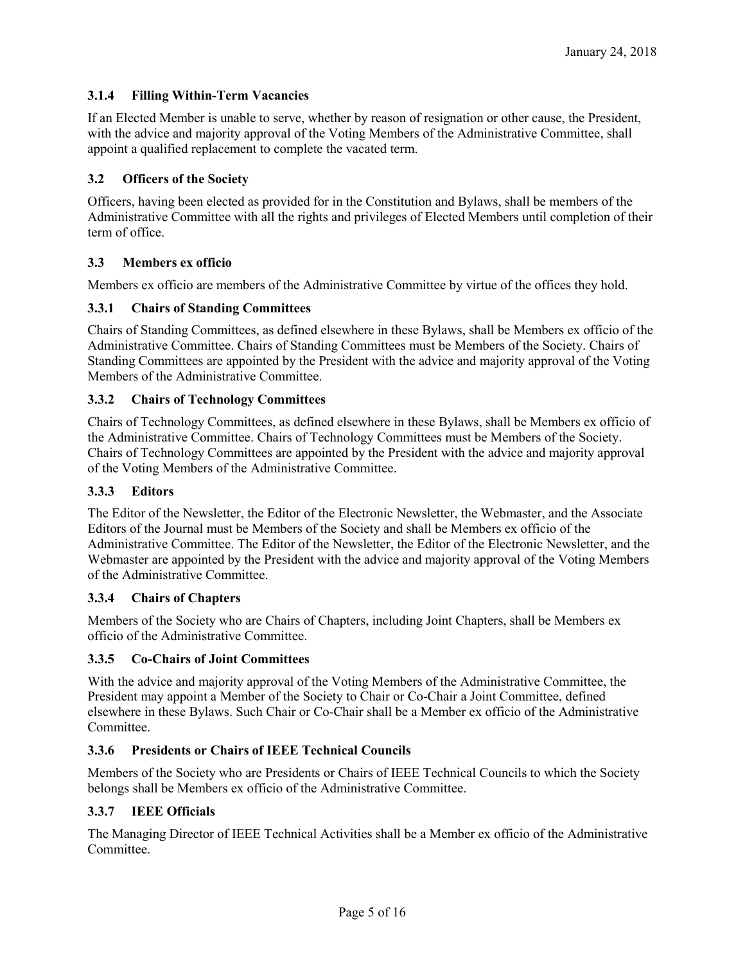# **3.1.4 Filling Within-Term Vacancies**

If an Elected Member is unable to serve, whether by reason of resignation or other cause, the President, with the advice and majority approval of the Voting Members of the Administrative Committee, shall appoint a qualified replacement to complete the vacated term.

## **3.2 Officers of the Society**

Officers, having been elected as provided for in the Constitution and Bylaws, shall be members of the Administrative Committee with all the rights and privileges of Elected Members until completion of their term of office.

## **3.3 Members ex officio**

Members ex officio are members of the Administrative Committee by virtue of the offices they hold.

## **3.3.1 Chairs of Standing Committees**

Chairs of Standing Committees, as defined elsewhere in these Bylaws, shall be Members ex officio of the Administrative Committee. Chairs of Standing Committees must be Members of the Society. Chairs of Standing Committees are appointed by the President with the advice and majority approval of the Voting Members of the Administrative Committee.

### **3.3.2 Chairs of Technology Committees**

Chairs of Technology Committees, as defined elsewhere in these Bylaws, shall be Members ex officio of the Administrative Committee. Chairs of Technology Committees must be Members of the Society. Chairs of Technology Committees are appointed by the President with the advice and majority approval of the Voting Members of the Administrative Committee.

### **3.3.3 Editors**

The Editor of the Newsletter, the Editor of the Electronic Newsletter, the Webmaster, and the Associate Editors of the Journal must be Members of the Society and shall be Members ex officio of the Administrative Committee. The Editor of the Newsletter, the Editor of the Electronic Newsletter, and the Webmaster are appointed by the President with the advice and majority approval of the Voting Members of the Administrative Committee.

### **3.3.4 Chairs of Chapters**

Members of the Society who are Chairs of Chapters, including Joint Chapters, shall be Members ex officio of the Administrative Committee.

### **3.3.5 Co-Chairs of Joint Committees**

With the advice and majority approval of the Voting Members of the Administrative Committee, the President may appoint a Member of the Society to Chair or Co-Chair a Joint Committee, defined elsewhere in these Bylaws. Such Chair or Co-Chair shall be a Member ex officio of the Administrative Committee.

### **3.3.6 Presidents or Chairs of IEEE Technical Councils**

Members of the Society who are Presidents or Chairs of IEEE Technical Councils to which the Society belongs shall be Members ex officio of the Administrative Committee.

### **3.3.7 IEEE Officials**

The Managing Director of IEEE Technical Activities shall be a Member ex officio of the Administrative **Committee**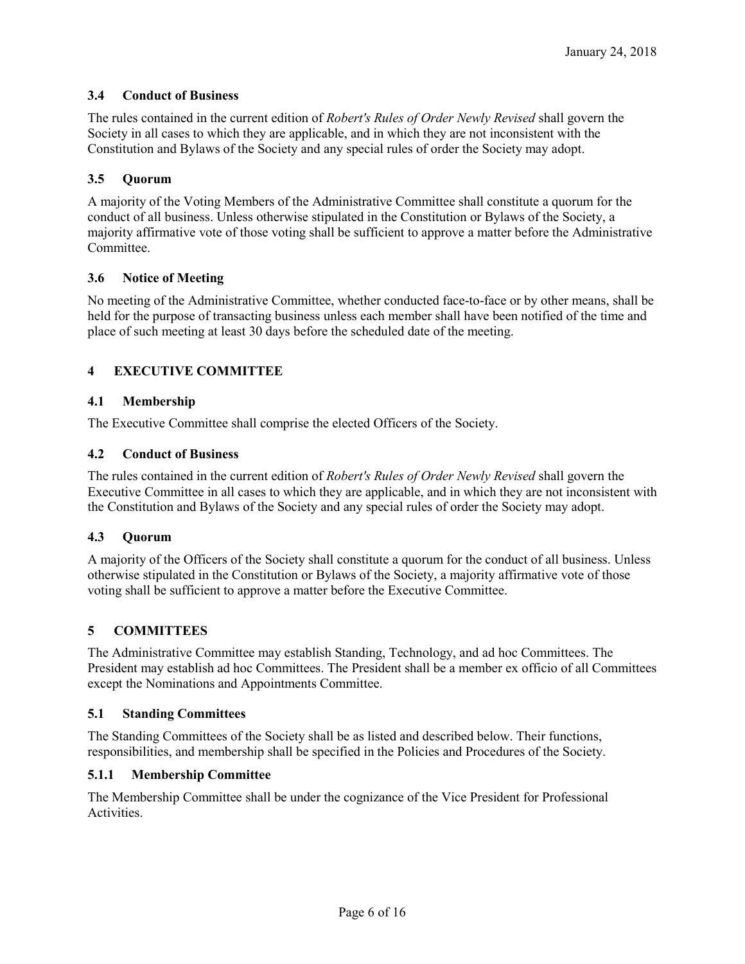# **3.4 Conduct of Business**

The rules contained in the current edition of *Robert's Rules of Order Newly Revised* shall govern the Society in all cases to which they are applicable, and in which they are not inconsistent with the Constitution and Bylaws of the Society and any special rules of order the Society may adopt.

## **3.5 Quorum**

A majority of the Voting Members of the Administrative Committee shall constitute a quorum for the conduct of all business. Unless otherwise stipulated in the Constitution or Bylaws of the Society, a majority affirmative vote of those voting shall be sufficient to approve a matter before the Administrative Committee.

## **3.6 Notice of Meeting**

No meeting of the Administrative Committee, whether conducted face-to-face or by other means, shall be held for the purpose of transacting business unless each member shall have been notified of the time and place of such meeting at least 30 days before the scheduled date of the meeting.

# **4 EXECUTIVE COMMITTEE**

## **4.1 Membership**

The Executive Committee shall comprise the elected Officers of the Society.

### **4.2 Conduct of Business**

The rules contained in the current edition of *Robert's Rules of Order Newly Revised* shall govern the Executive Committee in all cases to which they are applicable, and in which they are not inconsistent with the Constitution and Bylaws of the Society and any special rules of order the Society may adopt.

### **4.3 Quorum**

A majority of the Officers of the Society shall constitute a quorum for the conduct of all business. Unless otherwise stipulated in the Constitution or Bylaws of the Society, a majority affirmative vote of those voting shall be sufficient to approve a matter before the Executive Committee.

# **5 COMMITTEES**

The Administrative Committee may establish Standing, Technology, and ad hoc Committees. The President may establish ad hoc Committees. The President shall be a member ex officio of all Committees except the Nominations and Appointments Committee.

### **5.1 Standing Committees**

The Standing Committees of the Society shall be as listed and described below. Their functions, responsibilities, and membership shall be specified in the Policies and Procedures of the Society.

### **5.1.1 Membership Committee**

The Membership Committee shall be under the cognizance of the Vice President for Professional **Activities**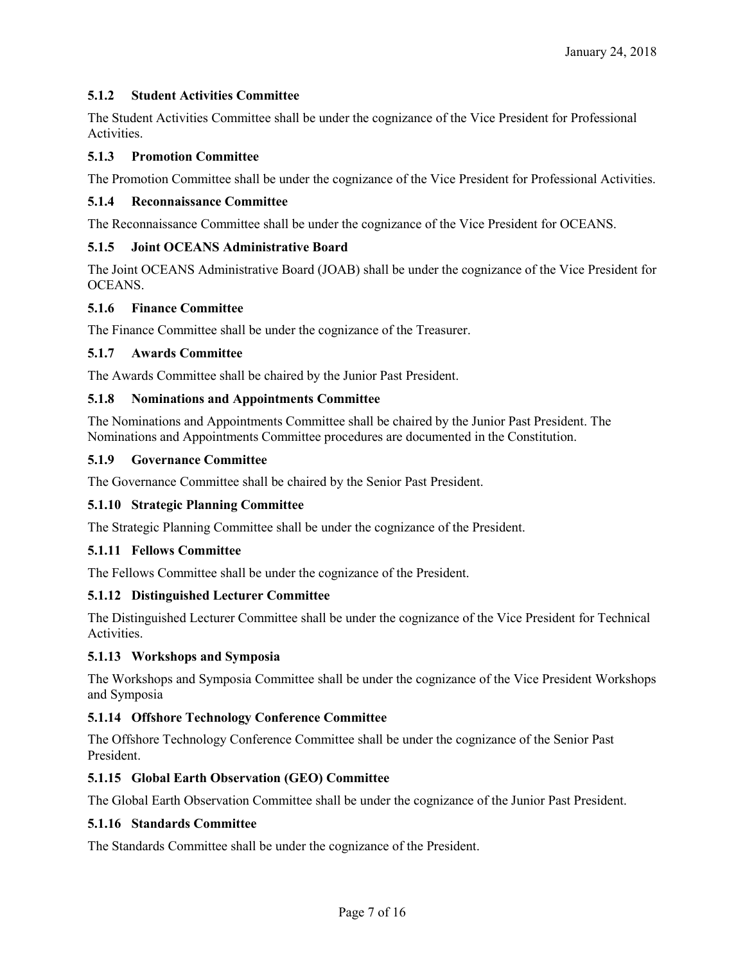## **5.1.2 Student Activities Committee**

The Student Activities Committee shall be under the cognizance of the Vice President for Professional **Activities** 

### **5.1.3 Promotion Committee**

The Promotion Committee shall be under the cognizance of the Vice President for Professional Activities.

### **5.1.4 Reconnaissance Committee**

The Reconnaissance Committee shall be under the cognizance of the Vice President for OCEANS.

### **5.1.5 Joint OCEANS Administrative Board**

The Joint OCEANS Administrative Board (JOAB) shall be under the cognizance of the Vice President for OCEANS.

## **5.1.6 Finance Committee**

The Finance Committee shall be under the cognizance of the Treasurer.

## **5.1.7 Awards Committee**

The Awards Committee shall be chaired by the Junior Past President.

## **5.1.8 Nominations and Appointments Committee**

The Nominations and Appointments Committee shall be chaired by the Junior Past President. The Nominations and Appointments Committee procedures are documented in the Constitution.

### **5.1.9 Governance Committee**

The Governance Committee shall be chaired by the Senior Past President.

# **5.1.10 Strategic Planning Committee**

The Strategic Planning Committee shall be under the cognizance of the President.

### **5.1.11 Fellows Committee**

The Fellows Committee shall be under the cognizance of the President.

# **5.1.12 Distinguished Lecturer Committee**

The Distinguished Lecturer Committee shall be under the cognizance of the Vice President for Technical Activities.

### **5.1.13 Workshops and Symposia**

The Workshops and Symposia Committee shall be under the cognizance of the Vice President Workshops and Symposia

### **5.1.14 Offshore Technology Conference Committee**

The Offshore Technology Conference Committee shall be under the cognizance of the Senior Past President.

### **5.1.15 Global Earth Observation (GEO) Committee**

The Global Earth Observation Committee shall be under the cognizance of the Junior Past President.

### **5.1.16 Standards Committee**

The Standards Committee shall be under the cognizance of the President.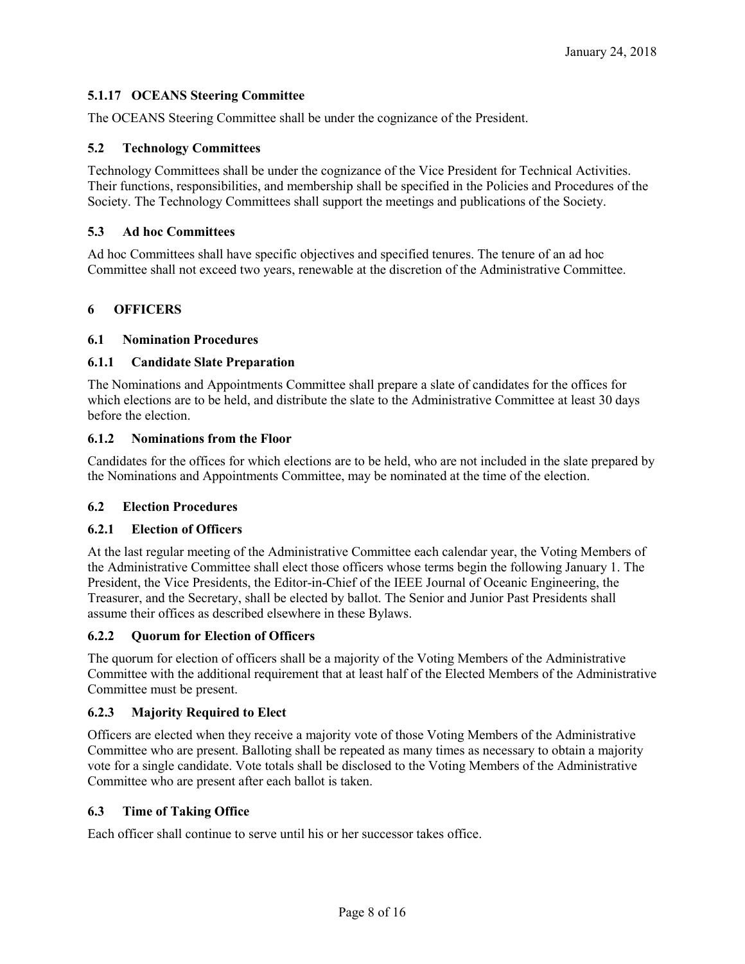# **5.1.17 OCEANS Steering Committee**

The OCEANS Steering Committee shall be under the cognizance of the President.

### **5.2 Technology Committees**

Technology Committees shall be under the cognizance of the Vice President for Technical Activities. Their functions, responsibilities, and membership shall be specified in the Policies and Procedures of the Society. The Technology Committees shall support the meetings and publications of the Society.

### **5.3 Ad hoc Committees**

Ad hoc Committees shall have specific objectives and specified tenures. The tenure of an ad hoc Committee shall not exceed two years, renewable at the discretion of the Administrative Committee.

## **6 OFFICERS**

### **6.1 Nomination Procedures**

### **6.1.1 Candidate Slate Preparation**

The Nominations and Appointments Committee shall prepare a slate of candidates for the offices for which elections are to be held, and distribute the slate to the Administrative Committee at least 30 days before the election.

### **6.1.2 Nominations from the Floor**

Candidates for the offices for which elections are to be held, who are not included in the slate prepared by the Nominations and Appointments Committee, may be nominated at the time of the election.

### **6.2 Election Procedures**

### **6.2.1 Election of Officers**

At the last regular meeting of the Administrative Committee each calendar year, the Voting Members of the Administrative Committee shall elect those officers whose terms begin the following January 1. The President, the Vice Presidents, the Editor-in-Chief of the IEEE Journal of Oceanic Engineering, the Treasurer, and the Secretary, shall be elected by ballot. The Senior and Junior Past Presidents shall assume their offices as described elsewhere in these Bylaws.

### **6.2.2 Quorum for Election of Officers**

The quorum for election of officers shall be a majority of the Voting Members of the Administrative Committee with the additional requirement that at least half of the Elected Members of the Administrative Committee must be present.

### **6.2.3 Majority Required to Elect**

Officers are elected when they receive a majority vote of those Voting Members of the Administrative Committee who are present. Balloting shall be repeated as many times as necessary to obtain a majority vote for a single candidate. Vote totals shall be disclosed to the Voting Members of the Administrative Committee who are present after each ballot is taken.

### **6.3 Time of Taking Office**

Each officer shall continue to serve until his or her successor takes office.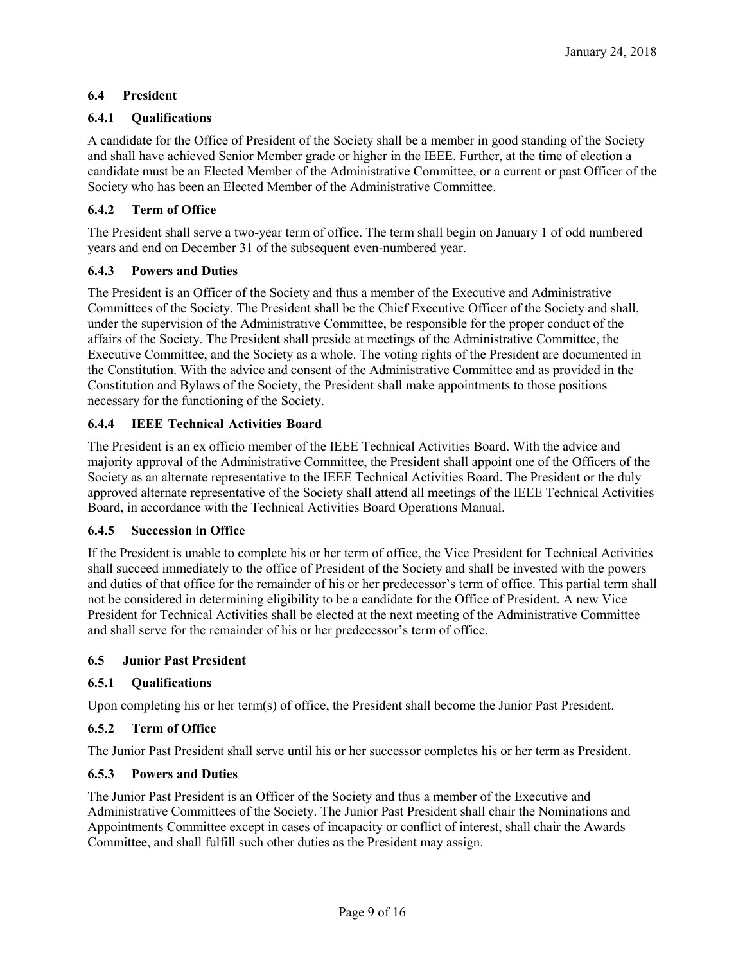# **6.4 President**

# **6.4.1 Qualifications**

A candidate for the Office of President of the Society shall be a member in good standing of the Society and shall have achieved Senior Member grade or higher in the IEEE. Further, at the time of election a candidate must be an Elected Member of the Administrative Committee, or a current or past Officer of the Society who has been an Elected Member of the Administrative Committee.

# **6.4.2 Term of Office**

The President shall serve a two-year term of office. The term shall begin on January 1 of odd numbered years and end on December 31 of the subsequent even-numbered year.

# **6.4.3 Powers and Duties**

The President is an Officer of the Society and thus a member of the Executive and Administrative Committees of the Society. The President shall be the Chief Executive Officer of the Society and shall, under the supervision of the Administrative Committee, be responsible for the proper conduct of the affairs of the Society. The President shall preside at meetings of the Administrative Committee, the Executive Committee, and the Society as a whole. The voting rights of the President are documented in the Constitution. With the advice and consent of the Administrative Committee and as provided in the Constitution and Bylaws of the Society, the President shall make appointments to those positions necessary for the functioning of the Society.

# **6.4.4 IEEE Technical Activities Board**

The President is an ex officio member of the IEEE Technical Activities Board. With the advice and majority approval of the Administrative Committee, the President shall appoint one of the Officers of the Society as an alternate representative to the IEEE Technical Activities Board. The President or the duly approved alternate representative of the Society shall attend all meetings of the IEEE Technical Activities Board, in accordance with the Technical Activities Board Operations Manual.

# **6.4.5 Succession in Office**

If the President is unable to complete his or her term of office, the Vice President for Technical Activities shall succeed immediately to the office of President of the Society and shall be invested with the powers and duties of that office for the remainder of his or her predecessor's term of office. This partial term shall not be considered in determining eligibility to be a candidate for the Office of President. A new Vice President for Technical Activities shall be elected at the next meeting of the Administrative Committee and shall serve for the remainder of his or her predecessor's term of office.

# **6.5 Junior Past President**

# **6.5.1 Qualifications**

Upon completing his or her term(s) of office, the President shall become the Junior Past President.

# **6.5.2 Term of Office**

The Junior Past President shall serve until his or her successor completes his or her term as President.

# **6.5.3 Powers and Duties**

The Junior Past President is an Officer of the Society and thus a member of the Executive and Administrative Committees of the Society. The Junior Past President shall chair the Nominations and Appointments Committee except in cases of incapacity or conflict of interest, shall chair the Awards Committee, and shall fulfill such other duties as the President may assign.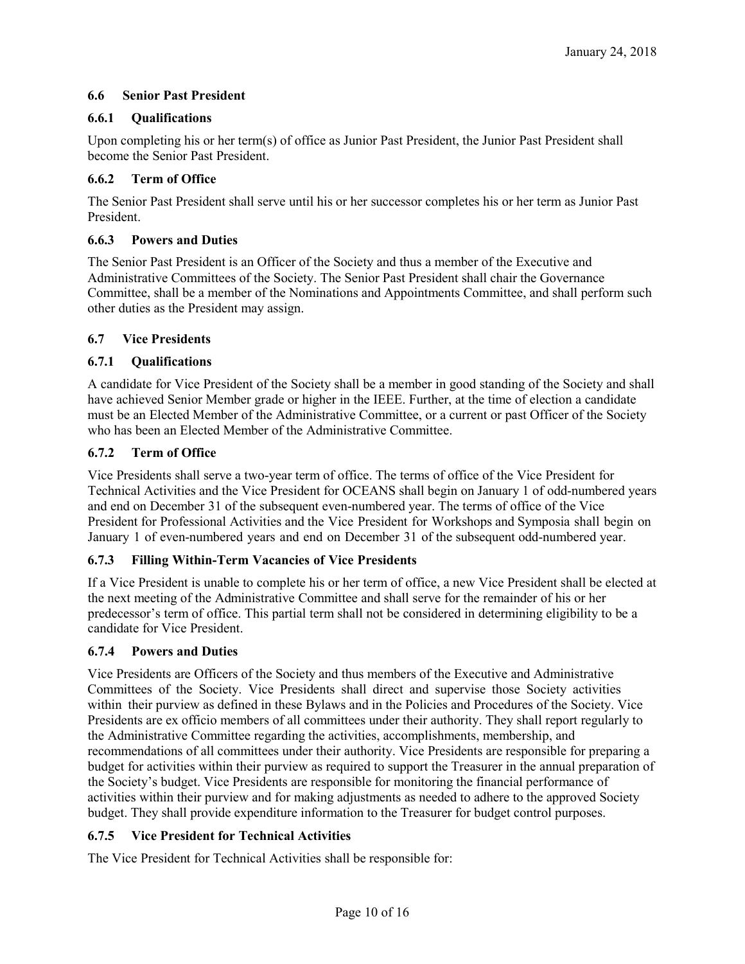# **6.6 Senior Past President**

# **6.6.1 Qualifications**

Upon completing his or her term(s) of office as Junior Past President, the Junior Past President shall become the Senior Past President.

# **6.6.2 Term of Office**

The Senior Past President shall serve until his or her successor completes his or her term as Junior Past President.

# **6.6.3 Powers and Duties**

The Senior Past President is an Officer of the Society and thus a member of the Executive and Administrative Committees of the Society. The Senior Past President shall chair the Governance Committee, shall be a member of the Nominations and Appointments Committee, and shall perform such other duties as the President may assign.

# **6.7 Vice Presidents**

# **6.7.1 Qualifications**

A candidate for Vice President of the Society shall be a member in good standing of the Society and shall have achieved Senior Member grade or higher in the IEEE. Further, at the time of election a candidate must be an Elected Member of the Administrative Committee, or a current or past Officer of the Society who has been an Elected Member of the Administrative Committee.

# **6.7.2 Term of Office**

Vice Presidents shall serve a two-year term of office. The terms of office of the Vice President for Technical Activities and the Vice President for OCEANS shall begin on January 1 of odd-numbered years and end on December 31 of the subsequent even-numbered year. The terms of office of the Vice President for Professional Activities and the Vice President for Workshops and Symposia shall begin on January 1 of even-numbered years and end on December 31 of the subsequent odd-numbered year.

# **6.7.3 Filling Within-Term Vacancies of Vice Presidents**

If a Vice President is unable to complete his or her term of office, a new Vice President shall be elected at the next meeting of the Administrative Committee and shall serve for the remainder of his or her predecessor's term of office. This partial term shall not be considered in determining eligibility to be a candidate for Vice President.

# **6.7.4 Powers and Duties**

Vice Presidents are Officers of the Society and thus members of the Executive and Administrative Committees of the Society. Vice Presidents shall direct and supervise those Society activities within their purview as defined in these Bylaws and in the Policies and Procedures of the Society. Vice Presidents are ex officio members of all committees under their authority. They shall report regularly to the Administrative Committee regarding the activities, accomplishments, membership, and recommendations of all committees under their authority. Vice Presidents are responsible for preparing a budget for activities within their purview as required to support the Treasurer in the annual preparation of the Society's budget. Vice Presidents are responsible for monitoring the financial performance of activities within their purview and for making adjustments as needed to adhere to the approved Society budget. They shall provide expenditure information to the Treasurer for budget control purposes.

# **6.7.5 Vice President for Technical Activities**

The Vice President for Technical Activities shall be responsible for: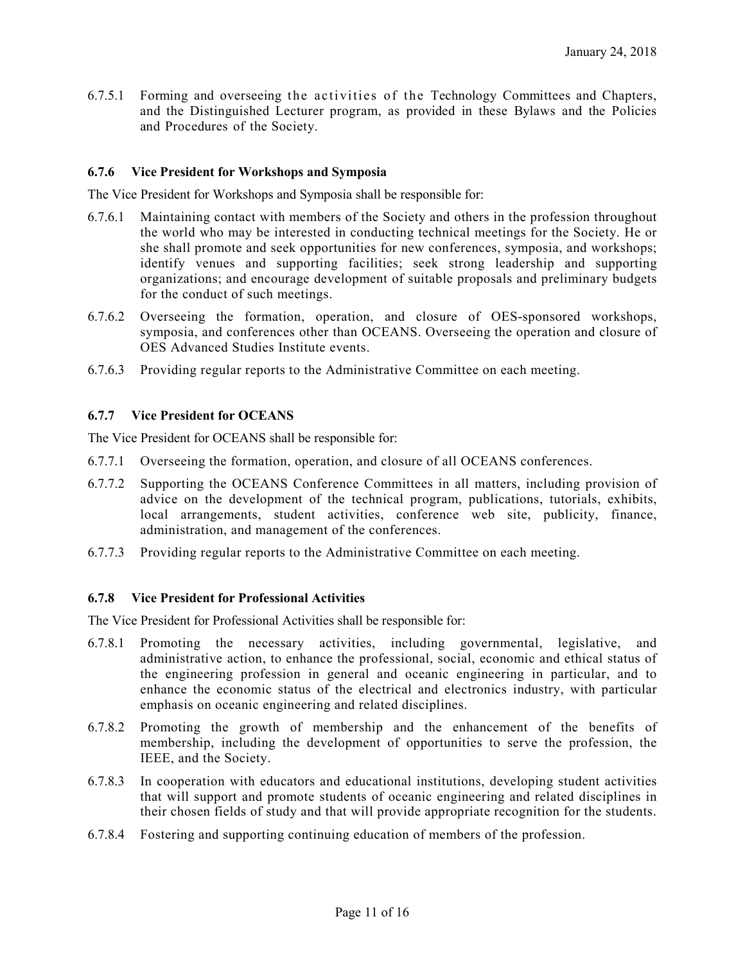6.7.5.1 Forming and overseeing the activities of the Technology Committees and Chapters, and the Distinguished Lecturer program, as provided in these Bylaws and the Policies and Procedures of the Society.

### **6.7.6 Vice President for Workshops and Symposia**

The Vice President for Workshops and Symposia shall be responsible for:

- 6.7.6.1 Maintaining contact with members of the Society and others in the profession throughout the world who may be interested in conducting technical meetings for the Society. He or she shall promote and seek opportunities for new conferences, symposia, and workshops; identify venues and supporting facilities; seek strong leadership and supporting organizations; and encourage development of suitable proposals and preliminary budgets for the conduct of such meetings.
- 6.7.6.2 Overseeing the formation, operation, and closure of OES-sponsored workshops, symposia, and conferences other than OCEANS. Overseeing the operation and closure of OES Advanced Studies Institute events.
- 6.7.6.3 Providing regular reports to the Administrative Committee on each meeting.

### **6.7.7 Vice President for OCEANS**

The Vice President for OCEANS shall be responsible for:

- 6.7.7.1 Overseeing the formation, operation, and closure of all OCEANS conferences.
- 6.7.7.2 Supporting the OCEANS Conference Committees in all matters, including provision of advice on the development of the technical program, publications, tutorials, exhibits, local arrangements, student activities, conference web site, publicity, finance, administration, and management of the conferences.
- 6.7.7.3 Providing regular reports to the Administrative Committee on each meeting.

#### **6.7.8 Vice President for Professional Activities**

The Vice President for Professional Activities shall be responsible for:

- 6.7.8.1 Promoting the necessary activities, including governmental, legislative, and administrative action, to enhance the professional, social, economic and ethical status of the engineering profession in general and oceanic engineering in particular, and to enhance the economic status of the electrical and electronics industry, with particular emphasis on oceanic engineering and related disciplines.
- 6.7.8.2 Promoting the growth of membership and the enhancement of the benefits of membership, including the development of opportunities to serve the profession, the IEEE, and the Society.
- 6.7.8.3 In cooperation with educators and educational institutions, developing student activities that will support and promote students of oceanic engineering and related disciplines in their chosen fields of study and that will provide appropriate recognition for the students.
- 6.7.8.4 Fostering and supporting continuing education of members of the profession.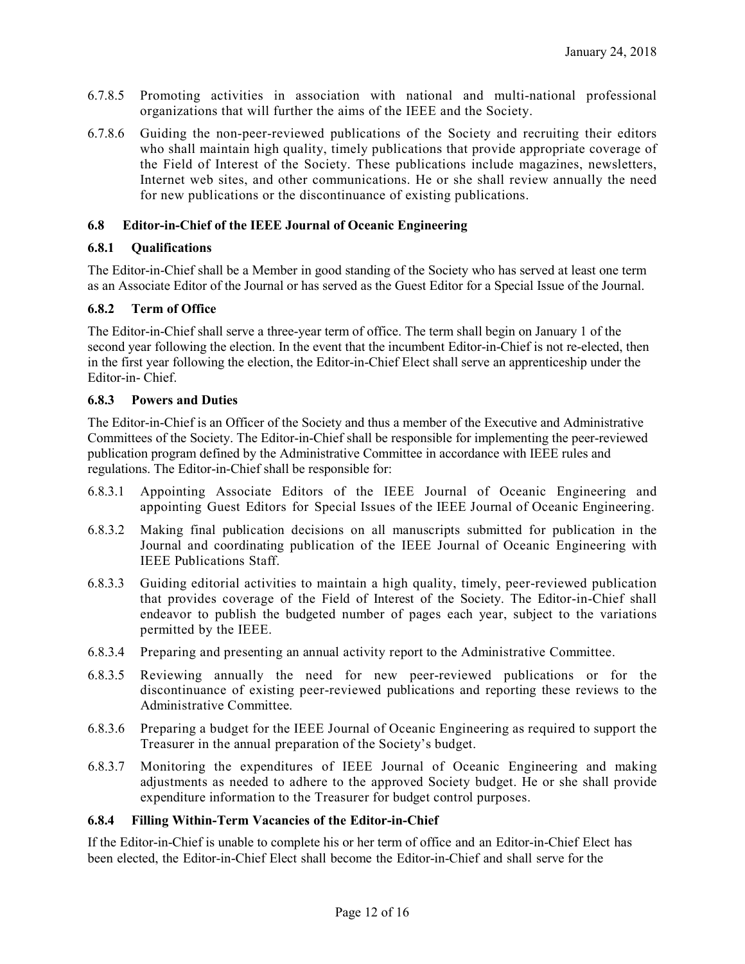- 6.7.8.5 Promoting activities in association with national and multi-national professional organizations that will further the aims of the IEEE and the Society.
- 6.7.8.6 Guiding the non-peer-reviewed publications of the Society and recruiting their editors who shall maintain high quality, timely publications that provide appropriate coverage of the Field of Interest of the Society. These publications include magazines, newsletters, Internet web sites, and other communications. He or she shall review annually the need for new publications or the discontinuance of existing publications.

## **6.8 Editor-in-Chief of the IEEE Journal of Oceanic Engineering**

## **6.8.1 Qualifications**

The Editor-in-Chief shall be a Member in good standing of the Society who has served at least one term as an Associate Editor of the Journal or has served as the Guest Editor for a Special Issue of the Journal.

## **6.8.2 Term of Office**

The Editor-in-Chief shall serve a three-year term of office. The term shall begin on January 1 of the second year following the election. In the event that the incumbent Editor-in-Chief is not re-elected, then in the first year following the election, the Editor-in-Chief Elect shall serve an apprenticeship under the Editor-in- Chief.

### **6.8.3 Powers and Duties**

The Editor-in-Chief is an Officer of the Society and thus a member of the Executive and Administrative Committees of the Society. The Editor-in-Chief shall be responsible for implementing the peer-reviewed publication program defined by the Administrative Committee in accordance with IEEE rules and regulations. The Editor-in-Chief shall be responsible for:

- 6.8.3.1 Appointing Associate Editors of the IEEE Journal of Oceanic Engineering and appointing Guest Editors for Special Issues of the IEEE Journal of Oceanic Engineering.
- 6.8.3.2 Making final publication decisions on all manuscripts submitted for publication in the Journal and coordinating publication of the IEEE Journal of Oceanic Engineering with IEEE Publications Staff.
- 6.8.3.3 Guiding editorial activities to maintain a high quality, timely, peer-reviewed publication that provides coverage of the Field of Interest of the Society. The Editor-in-Chief shall endeavor to publish the budgeted number of pages each year, subject to the variations permitted by the IEEE.
- 6.8.3.4 Preparing and presenting an annual activity report to the Administrative Committee.
- 6.8.3.5 Reviewing annually the need for new peer-reviewed publications or for the discontinuance of existing peer-reviewed publications and reporting these reviews to the Administrative Committee.
- 6.8.3.6 Preparing a budget for the IEEE Journal of Oceanic Engineering as required to support the Treasurer in the annual preparation of the Society's budget.
- 6.8.3.7 Monitoring the expenditures of IEEE Journal of Oceanic Engineering and making adjustments as needed to adhere to the approved Society budget. He or she shall provide expenditure information to the Treasurer for budget control purposes.

### **6.8.4 Filling Within-Term Vacancies of the Editor-in-Chief**

If the Editor-in-Chief is unable to complete his or her term of office and an Editor-in-Chief Elect has been elected, the Editor-in-Chief Elect shall become the Editor-in-Chief and shall serve for the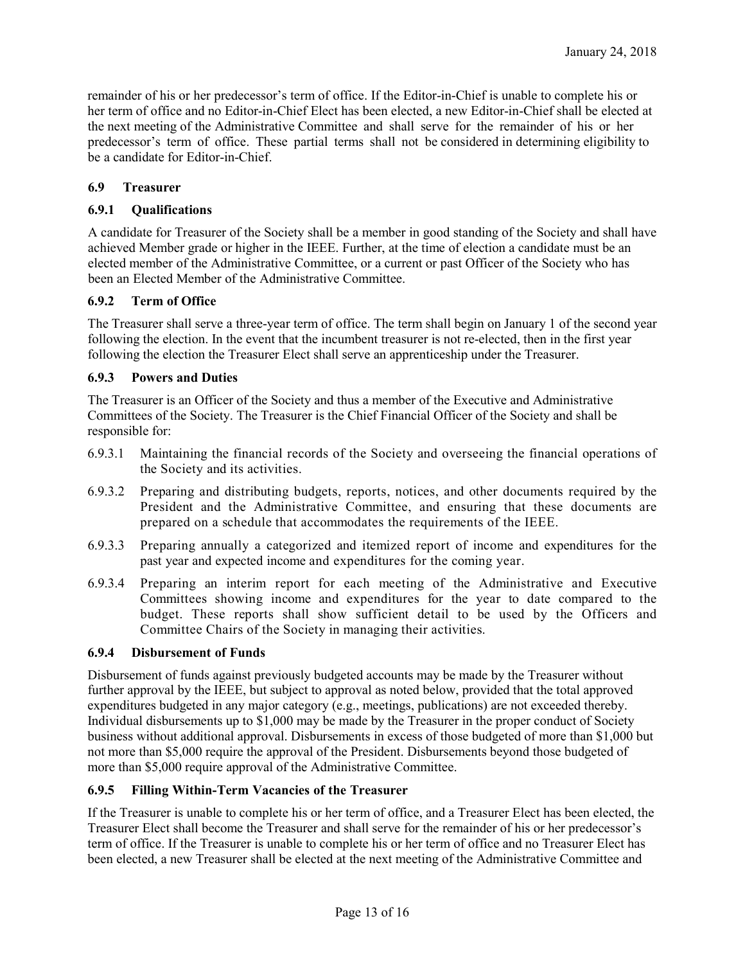remainder of his or her predecessor's term of office. If the Editor-in-Chief is unable to complete his or her term of office and no Editor-in-Chief Elect has been elected, a new Editor-in-Chief shall be elected at the next meeting of the Administrative Committee and shall serve for the remainder of his or her predecessor's term of office. These partial terms shall not be considered in determining eligibility to be a candidate for Editor-in-Chief.

# **6.9 Treasurer**

# **6.9.1 Qualifications**

A candidate for Treasurer of the Society shall be a member in good standing of the Society and shall have achieved Member grade or higher in the IEEE. Further, at the time of election a candidate must be an elected member of the Administrative Committee, or a current or past Officer of the Society who has been an Elected Member of the Administrative Committee.

# **6.9.2 Term of Office**

The Treasurer shall serve a three-year term of office. The term shall begin on January 1 of the second year following the election. In the event that the incumbent treasurer is not re-elected, then in the first year following the election the Treasurer Elect shall serve an apprenticeship under the Treasurer.

## **6.9.3 Powers and Duties**

The Treasurer is an Officer of the Society and thus a member of the Executive and Administrative Committees of the Society. The Treasurer is the Chief Financial Officer of the Society and shall be responsible for:

- 6.9.3.1 Maintaining the financial records of the Society and overseeing the financial operations of the Society and its activities.
- 6.9.3.2 Preparing and distributing budgets, reports, notices, and other documents required by the President and the Administrative Committee, and ensuring that these documents are prepared on a schedule that accommodates the requirements of the IEEE.
- 6.9.3.3 Preparing annually a categorized and itemized report of income and expenditures for the past year and expected income and expenditures for the coming year.
- 6.9.3.4 Preparing an interim report for each meeting of the Administrative and Executive Committees showing income and expenditures for the year to date compared to the budget. These reports shall show sufficient detail to be used by the Officers and Committee Chairs of the Society in managing their activities.

### **6.9.4 Disbursement of Funds**

Disbursement of funds against previously budgeted accounts may be made by the Treasurer without further approval by the IEEE, but subject to approval as noted below, provided that the total approved expenditures budgeted in any major category (e.g., meetings, publications) are not exceeded thereby. Individual disbursements up to \$1,000 may be made by the Treasurer in the proper conduct of Society business without additional approval. Disbursements in excess of those budgeted of more than \$1,000 but not more than \$5,000 require the approval of the President. Disbursements beyond those budgeted of more than \$5,000 require approval of the Administrative Committee.

# **6.9.5 Filling Within-Term Vacancies of the Treasurer**

If the Treasurer is unable to complete his or her term of office, and a Treasurer Elect has been elected, the Treasurer Elect shall become the Treasurer and shall serve for the remainder of his or her predecessor's term of office. If the Treasurer is unable to complete his or her term of office and no Treasurer Elect has been elected, a new Treasurer shall be elected at the next meeting of the Administrative Committee and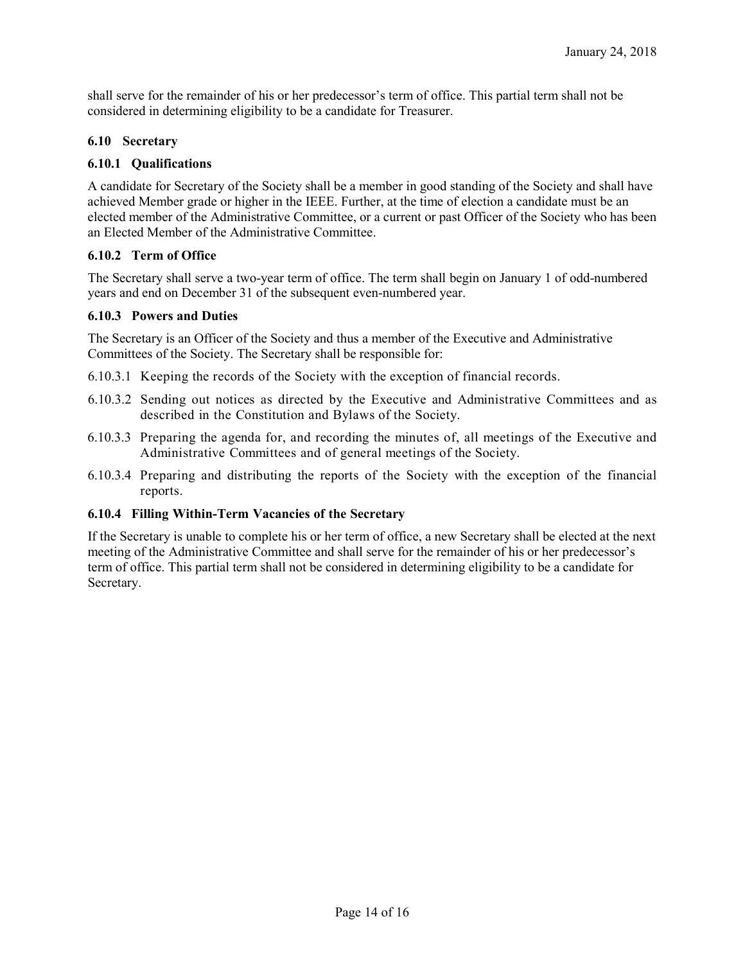shall serve for the remainder of his or her predecessor's term of office. This partial term shall not be considered in determining eligibility to be a candidate for Treasurer.

# **6.10 Secretary**

## **6.10.1 Qualifications**

A candidate for Secretary of the Society shall be a member in good standing of the Society and shall have achieved Member grade or higher in the IEEE. Further, at the time of election a candidate must be an elected member of the Administrative Committee, or a current or past Officer of the Society who has been an Elected Member of the Administrative Committee.

## **6.10.2 Term of Office**

The Secretary shall serve a two-year term of office. The term shall begin on January 1 of odd-numbered years and end on December 31 of the subsequent even-numbered year.

## **6.10.3 Powers and Duties**

The Secretary is an Officer of the Society and thus a member of the Executive and Administrative Committees of the Society. The Secretary shall be responsible for:

- 6.10.3.1 Keeping the records of the Society with the exception of financial records.
- 6.10.3.2 Sending out notices as directed by the Executive and Administrative Committees and as described in the Constitution and Bylaws of the Society.
- 6.10.3.3 Preparing the agenda for, and recording the minutes of, all meetings of the Executive and Administrative Committees and of general meetings of the Society.
- 6.10.3.4 Preparing and distributing the reports of the Society with the exception of the financial reports.

### **6.10.4 Filling Within-Term Vacancies of the Secretary**

If the Secretary is unable to complete his or her term of office, a new Secretary shall be elected at the next meeting of the Administrative Committee and shall serve for the remainder of his or her predecessor's term of office. This partial term shall not be considered in determining eligibility to be a candidate for Secretary.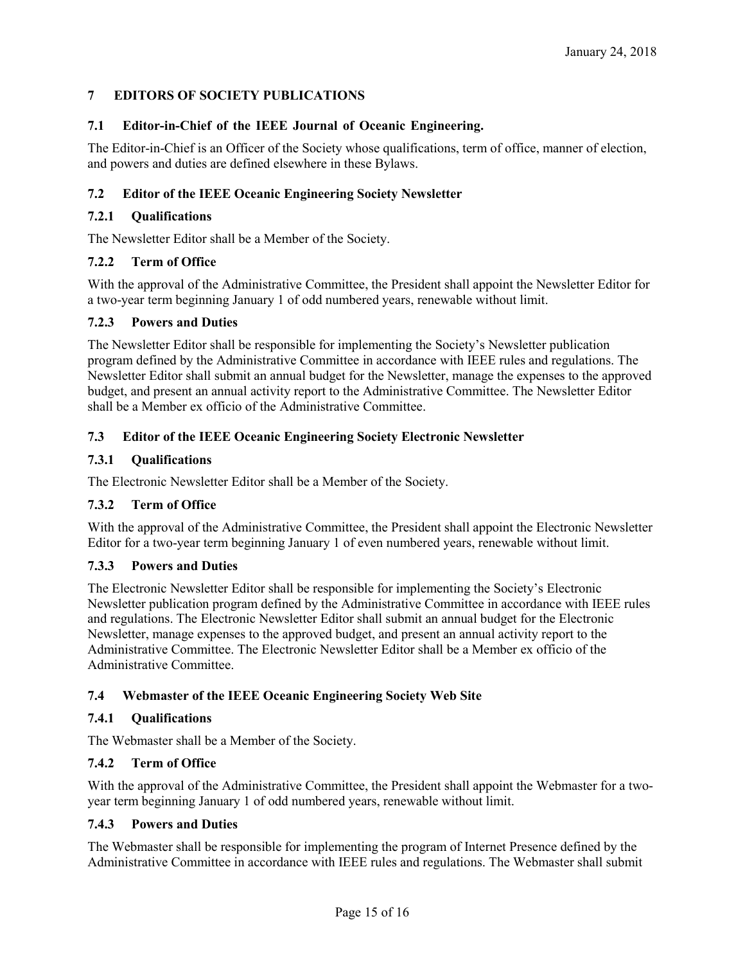# **7 EDITORS OF SOCIETY PUBLICATIONS**

## **7.1 Editor-in-Chief of the IEEE Journal of Oceanic Engineering.**

The Editor-in-Chief is an Officer of the Society whose qualifications, term of office, manner of election, and powers and duties are defined elsewhere in these Bylaws.

## **7.2 Editor of the IEEE Oceanic Engineering Society Newsletter**

### **7.2.1 Qualifications**

The Newsletter Editor shall be a Member of the Society.

## **7.2.2 Term of Office**

With the approval of the Administrative Committee, the President shall appoint the Newsletter Editor for a two-year term beginning January 1 of odd numbered years, renewable without limit.

### **7.2.3 Powers and Duties**

The Newsletter Editor shall be responsible for implementing the Society's Newsletter publication program defined by the Administrative Committee in accordance with IEEE rules and regulations. The Newsletter Editor shall submit an annual budget for the Newsletter, manage the expenses to the approved budget, and present an annual activity report to the Administrative Committee. The Newsletter Editor shall be a Member ex officio of the Administrative Committee.

## **7.3 Editor of the IEEE Oceanic Engineering Society Electronic Newsletter**

## **7.3.1 Qualifications**

The Electronic Newsletter Editor shall be a Member of the Society.

# **7.3.2 Term of Office**

With the approval of the Administrative Committee, the President shall appoint the Electronic Newsletter Editor for a two-year term beginning January 1 of even numbered years, renewable without limit.

### **7.3.3 Powers and Duties**

The Electronic Newsletter Editor shall be responsible for implementing the Society's Electronic Newsletter publication program defined by the Administrative Committee in accordance with IEEE rules and regulations. The Electronic Newsletter Editor shall submit an annual budget for the Electronic Newsletter, manage expenses to the approved budget, and present an annual activity report to the Administrative Committee. The Electronic Newsletter Editor shall be a Member ex officio of the Administrative Committee.

# **7.4 Webmaster of the IEEE Oceanic Engineering Society Web Site**

### **7.4.1 Qualifications**

The Webmaster shall be a Member of the Society.

# **7.4.2 Term of Office**

With the approval of the Administrative Committee, the President shall appoint the Webmaster for a twoyear term beginning January 1 of odd numbered years, renewable without limit.

### **7.4.3 Powers and Duties**

The Webmaster shall be responsible for implementing the program of Internet Presence defined by the Administrative Committee in accordance with IEEE rules and regulations. The Webmaster shall submit